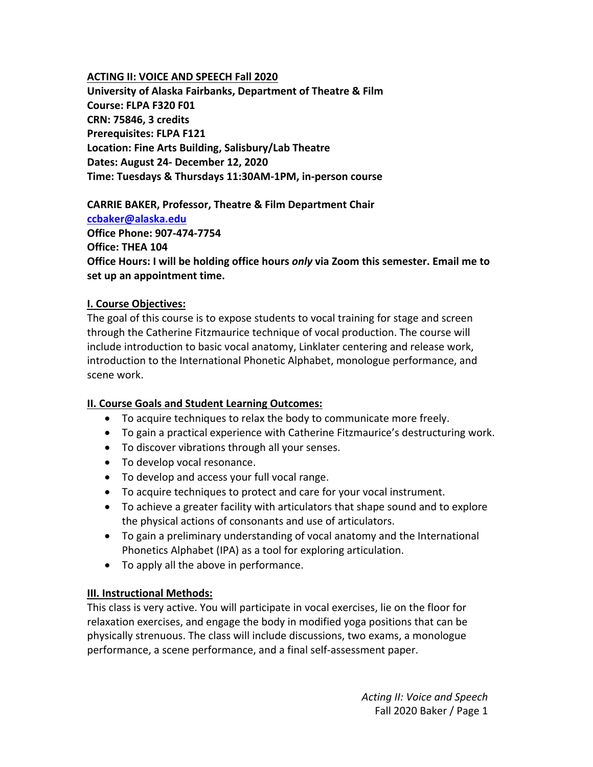#### **ACTING II: VOICE AND SPEECH Fall 2020**

**University of Alaska Fairbanks, Department of Theatre & Film Course: FLPA F320 F01 CRN: 75846, 3 credits Prerequisites: FLPA F121 Location: Fine Arts Building, Salisbury/Lab Theatre Dates: August 24‐ December 12, 2020 Time: Tuesdays & Thursdays 11:30AM‐1PM, in‐person course** 

**CARRIE BAKER, Professor, Theatre & Film Department Chair ccbaker@alaska.edu Office Phone: 907‐474‐7754 Office: THEA 104 Office Hours: I will be holding office hours** *only* **via Zoom this semester. Email me to set up an appointment time.** 

#### **I. Course Objectives:**

The goal of this course is to expose students to vocal training for stage and screen through the Catherine Fitzmaurice technique of vocal production. The course will include introduction to basic vocal anatomy, Linklater centering and release work, introduction to the International Phonetic Alphabet, monologue performance, and scene work.

### **II. Course Goals and Student Learning Outcomes:**

- To acquire techniques to relax the body to communicate more freely.
- To gain a practical experience with Catherine Fitzmaurice's destructuring work.
- To discover vibrations through all your senses.
- To develop vocal resonance.
- To develop and access your full vocal range.
- To acquire techniques to protect and care for your vocal instrument.
- To achieve a greater facility with articulators that shape sound and to explore the physical actions of consonants and use of articulators.
- To gain a preliminary understanding of vocal anatomy and the International Phonetics Alphabet (IPA) as a tool for exploring articulation.
- To apply all the above in performance.

### **III. Instructional Methods:**

This class is very active. You will participate in vocal exercises, lie on the floor for relaxation exercises, and engage the body in modified yoga positions that can be physically strenuous. The class will include discussions, two exams, a monologue performance, a scene performance, and a final self‐assessment paper.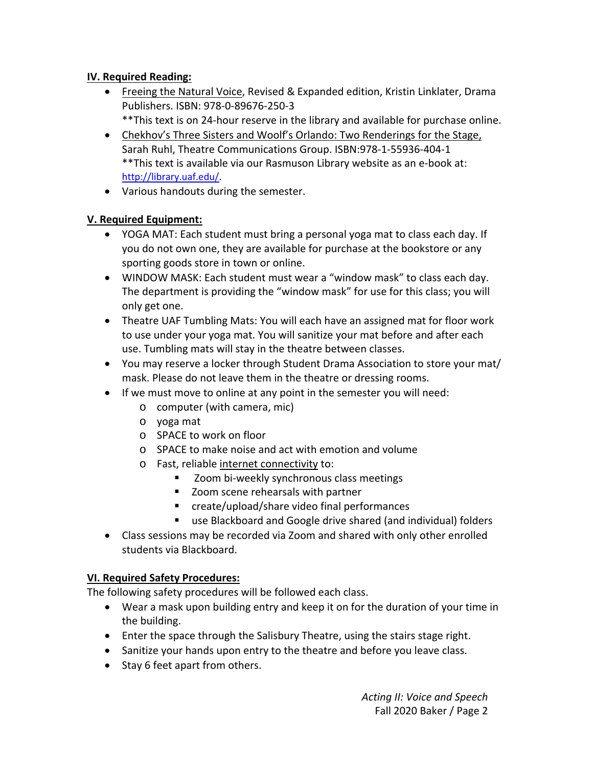## **IV. Required Reading:**

- Freeing the Natural Voice, Revised & Expanded edition, Kristin Linklater, Drama Publishers. ISBN: 978‐0‐89676‐250‐3
	- \*\*This text is on 24‐hour reserve in the library and available for purchase online.
- Chekhov's Three Sisters and Woolf's Orlando: Two Renderings for the Stage, Sarah Ruhl, Theatre Communications Group. ISBN:978‐1‐55936‐404‐1 \*\*This text is available via our Rasmuson Library website as an e‐book at: http://library.uaf.edu/.
- Various handouts during the semester.

### **V. Required Equipment:**

- YOGA MAT: Each student must bring a personal yoga mat to class each day. If you do not own one, they are available for purchase at the bookstore or any sporting goods store in town or online.
- WINDOW MASK: Each student must wear a "window mask" to class each day. The department is providing the "window mask" for use for this class; you will only get one.
- Theatre UAF Tumbling Mats: You will each have an assigned mat for floor work to use under your yoga mat. You will sanitize your mat before and after each use. Tumbling mats will stay in the theatre between classes.
- You may reserve a locker through Student Drama Association to store your mat/ mask. Please do not leave them in the theatre or dressing rooms.
- If we must move to online at any point in the semester you will need:
	- o computer (with camera, mic)
	- o yoga mat
	- o SPACE to work on floor
	- o SPACE to make noise and act with emotion and volume
	- o Fast, reliable internet connectivity to:
		- Zoom bi-weekly synchronous class meetings
		- **EXTED** Zoom scene rehearsals with partner
		- create/upload/share video final performances
		- use Blackboard and Google drive shared (and individual) folders
- Class sessions may be recorded via Zoom and shared with only other enrolled students via Blackboard.

### **VI. Required Safety Procedures:**

The following safety procedures will be followed each class.

- Wear a mask upon building entry and keep it on for the duration of your time in the building.
- Enter the space through the Salisbury Theatre, using the stairs stage right.
- Sanitize your hands upon entry to the theatre and before you leave class.
- Stay 6 feet apart from others.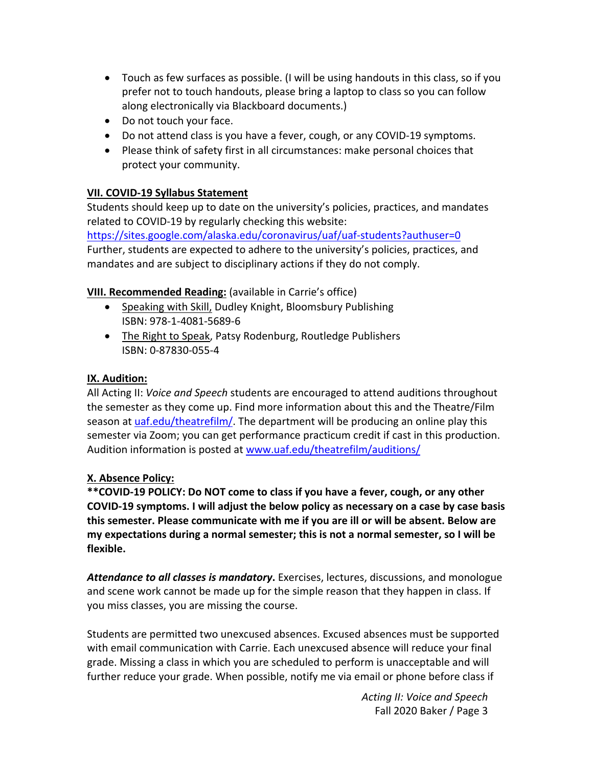- Touch as few surfaces as possible. (I will be using handouts in this class, so if you prefer not to touch handouts, please bring a laptop to class so you can follow along electronically via Blackboard documents.)
- Do not touch your face.
- Do not attend class is you have a fever, cough, or any COVID-19 symptoms.
- Please think of safety first in all circumstances: make personal choices that protect your community.

### **VII. COVID‐19 Syllabus Statement**

Students should keep up to date on the university's policies, practices, and mandates related to COVID‐19 by regularly checking this website: https://sites.google.com/alaska.edu/coronavirus/uaf/uaf-students?authuser=0

Further, students are expected to adhere to the university's policies, practices, and mandates and are subject to disciplinary actions if they do not comply.

### **VIII. Recommended Reading:** (available in Carrie's office)

- Speaking with Skill, Dudley Knight, Bloomsbury Publishing ISBN: 978‐1‐4081‐5689‐6
- The Right to Speak, Patsy Rodenburg, Routledge Publishers ISBN: 0‐87830‐055‐4

### **IX. Audition:**

All Acting II: *Voice and Speech* students are encouraged to attend auditions throughout the semester as they come up. Find more information about this and the Theatre/Film season at uaf.edu/theatrefilm/. The department will be producing an online play this semester via Zoom; you can get performance practicum credit if cast in this production. Audition information is posted at www.uaf.edu/theatrefilm/auditions/

### **X. Absence Policy:**

**\*\*COVID‐19 POLICY: Do NOT come to class if you have a fever, cough, or any other COVID‐19 symptoms. I will adjust the below policy as necessary on a case by case basis this semester. Please communicate with me if you are ill or will be absent. Below are my expectations during a normal semester; this is not a normal semester, so I will be flexible.** 

*Attendance to all classes is mandatory***.** Exercises, lectures, discussions, and monologue and scene work cannot be made up for the simple reason that they happen in class. If you miss classes, you are missing the course.

Students are permitted two unexcused absences. Excused absences must be supported with email communication with Carrie. Each unexcused absence will reduce your final grade. Missing a class in which you are scheduled to perform is unacceptable and will further reduce your grade. When possible, notify me via email or phone before class if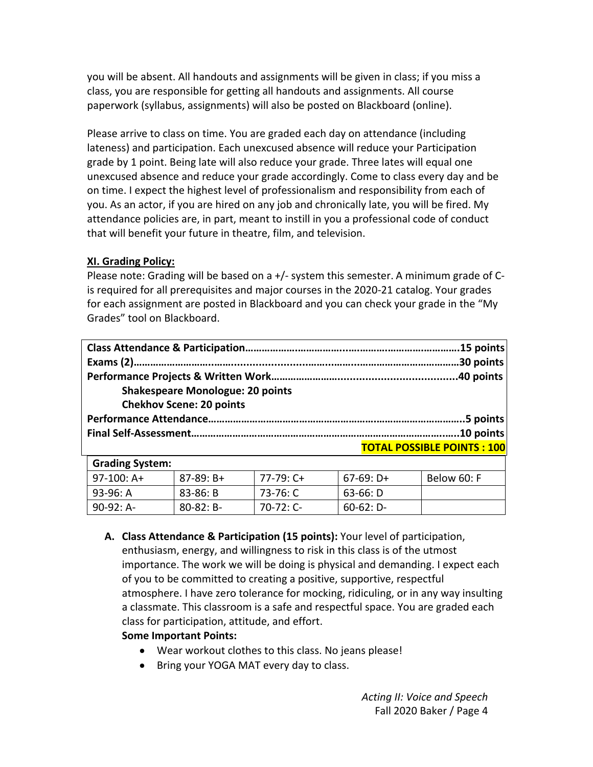you will be absent. All handouts and assignments will be given in class; if you miss a class, you are responsible for getting all handouts and assignments. All course paperwork (syllabus, assignments) will also be posted on Blackboard (online).

Please arrive to class on time. You are graded each day on attendance (including lateness) and participation. Each unexcused absence will reduce your Participation grade by 1 point. Being late will also reduce your grade. Three lates will equal one unexcused absence and reduce your grade accordingly. Come to class every day and be on time. I expect the highest level of professionalism and responsibility from each of you. As an actor, if you are hired on any job and chronically late, you will be fired. My attendance policies are, in part, meant to instill in you a professional code of conduct that will benefit your future in theatre, film, and television.

### **XI. Grading Policy:**

Please note: Grading will be based on a +/‐ system this semester. A minimum grade of C‐ is required for all prerequisites and major courses in the 2020‐21 catalog. Your grades for each assignment are posted in Blackboard and you can check your grade in the "My Grades" tool on Blackboard.

| <b>Shakespeare Monologue: 20 points</b> |                                    |
|-----------------------------------------|------------------------------------|
| <b>Chekhov Scene: 20 points</b>         |                                    |
|                                         |                                    |
|                                         |                                    |
|                                         | <b>TOTAL POSSIBLE POINTS : 100</b> |

| <b>Grading System:</b> |                |             |             |             |
|------------------------|----------------|-------------|-------------|-------------|
| l 97-100: A+           | $87-89: B+$    | 77-79: C+   | $67-69: D+$ | Below 60: F |
| 93-96: A               | 83-86: B       | 73-76: C    | 63-66: D    |             |
| 90-92: A-              | $80 - 82: B -$ | $70-72:$ C- | $60-62: D-$ |             |

**A. Class Attendance & Participation (15 points):** Your level of participation, enthusiasm, energy, and willingness to risk in this class is of the utmost importance. The work we will be doing is physical and demanding. I expect each of you to be committed to creating a positive, supportive, respectful atmosphere. I have zero tolerance for mocking, ridiculing, or in any way insulting a classmate. This classroom is a safe and respectful space. You are graded each class for participation, attitude, and effort.

### **Some Important Points:**

- Wear workout clothes to this class. No jeans please!
- Bring your YOGA MAT every day to class.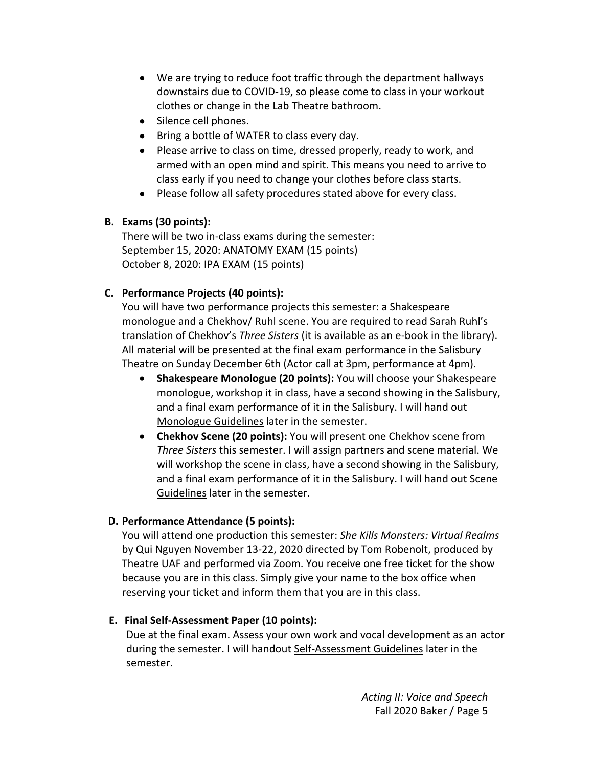- We are trying to reduce foot traffic through the department hallways downstairs due to COVID‐19, so please come to class in your workout clothes or change in the Lab Theatre bathroom.
- Silence cell phones.
- Bring a bottle of WATER to class every day.
- Please arrive to class on time, dressed properly, ready to work, and armed with an open mind and spirit. This means you need to arrive to class early if you need to change your clothes before class starts.
- Please follow all safety procedures stated above for every class.

### **B. Exams (30 points):**

There will be two in‐class exams during the semester: September 15, 2020: ANATOMY EXAM (15 points) October 8, 2020: IPA EXAM (15 points)

### **C. Performance Projects (40 points):**

You will have two performance projects this semester: a Shakespeare monologue and a Chekhov/ Ruhl scene. You are required to read Sarah Ruhl's translation of Chekhov's *Three Sisters* (it is available as an e‐book in the library). All material will be presented at the final exam performance in the Salisbury Theatre on Sunday December 6th (Actor call at 3pm, performance at 4pm).

- **Shakespeare Monologue (20 points):** You will choose your Shakespeare monologue, workshop it in class, have a second showing in the Salisbury, and a final exam performance of it in the Salisbury. I will hand out Monologue Guidelines later in the semester.
- **Chekhov Scene (20 points):** You will present one Chekhov scene from *Three Sisters* this semester. I will assign partners and scene material. We will workshop the scene in class, have a second showing in the Salisbury, and a final exam performance of it in the Salisbury. I will hand out Scene Guidelines later in the semester.

### **D. Performance Attendance (5 points):**

You will attend one production this semester: *She Kills Monsters: Virtual Realms* by Qui Nguyen November 13‐22, 2020 directed by Tom Robenolt, produced by Theatre UAF and performed via Zoom. You receive one free ticket for the show because you are in this class. Simply give your name to the box office when reserving your ticket and inform them that you are in this class.

#### **E. Final Self‐Assessment Paper (10 points):**

 Due at the final exam. Assess your own work and vocal development as an actor during the semester. I will handout Self‐Assessment Guidelines later in the semester.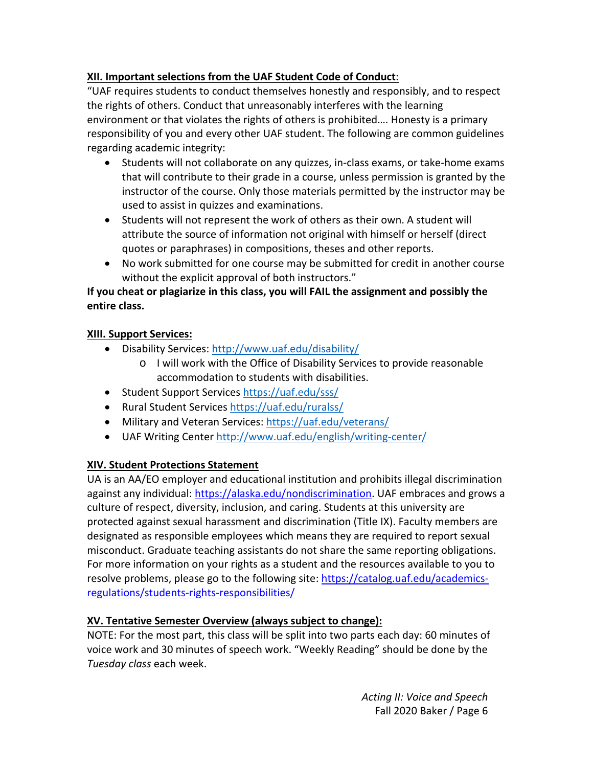# **XII. Important selections from the UAF Student Code of Conduct**:

"UAF requires students to conduct themselves honestly and responsibly, and to respect the rights of others. Conduct that unreasonably interferes with the learning environment or that violates the rights of others is prohibited…. Honesty is a primary responsibility of you and every other UAF student. The following are common guidelines regarding academic integrity:

- Students will not collaborate on any quizzes, in-class exams, or take-home exams that will contribute to their grade in a course, unless permission is granted by the instructor of the course. Only those materials permitted by the instructor may be used to assist in quizzes and examinations.
- Students will not represent the work of others as their own. A student will attribute the source of information not original with himself or herself (direct quotes or paraphrases) in compositions, theses and other reports.
- No work submitted for one course may be submitted for credit in another course without the explicit approval of both instructors."

## **If you cheat or plagiarize in this class, you will FAIL the assignment and possibly the entire class.**

## **XIII. Support Services:**

- Disability Services: http://www.uaf.edu/disability/
	- o I will work with the Office of Disability Services to provide reasonable accommodation to students with disabilities.
- Student Support Services https://uaf.edu/sss/
- Rural Student Services https://uaf.edu/ruralss/
- Military and Veteran Services: https://uaf.edu/veterans/
- UAF Writing Center http://www.uaf.edu/english/writing‐center/

## **XIV. Student Protections Statement**

UA is an AA/EO employer and educational institution and prohibits illegal discrimination against any individual: https://alaska.edu/nondiscrimination. UAF embraces and grows a culture of respect, diversity, inclusion, and caring. Students at this university are protected against sexual harassment and discrimination (Title IX). Faculty members are designated as responsible employees which means they are required to report sexual misconduct. Graduate teaching assistants do not share the same reporting obligations. For more information on your rights as a student and the resources available to you to resolve problems, please go to the following site: https://catalog.uaf.edu/academicsregulations/students‐rights‐responsibilities/

## **XV. Tentative Semester Overview (always subject to change):**

NOTE: For the most part, this class will be split into two parts each day: 60 minutes of voice work and 30 minutes of speech work. "Weekly Reading" should be done by the *Tuesday class* each week.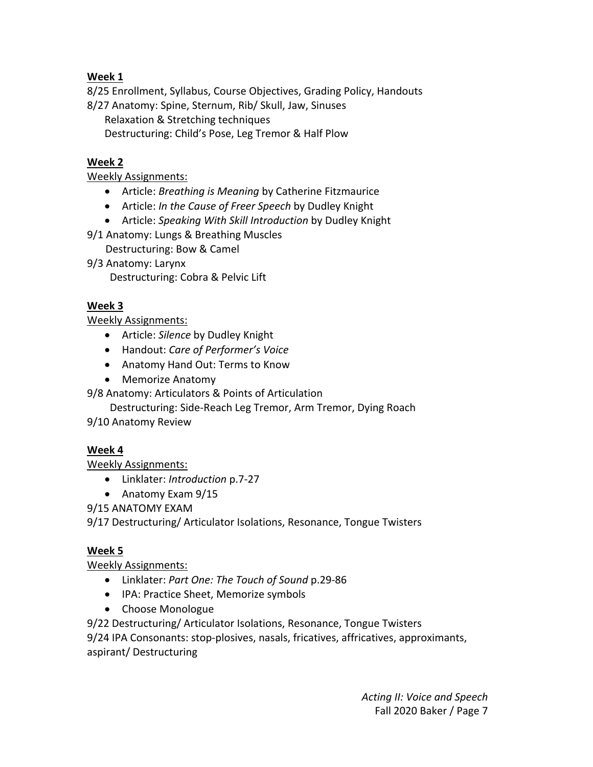# **Week 1**

8/25 Enrollment, Syllabus, Course Objectives, Grading Policy, Handouts

8/27 Anatomy: Spine, Sternum, Rib/ Skull, Jaw, Sinuses

Relaxation & Stretching techniques Destructuring: Child's Pose, Leg Tremor & Half Plow

# **Week 2**

### Weekly Assignments:

- Article: *Breathing is Meaning* by Catherine Fitzmaurice
- Article: *In the Cause of Freer Speech* by Dudley Knight
- Article: *Speaking With Skill Introduction* by Dudley Knight
- 9/1 Anatomy: Lungs & Breathing Muscles
	- Destructuring: Bow & Camel
- 9/3 Anatomy: Larynx

Destructuring: Cobra & Pelvic Lift

## **Week 3**

### Weekly Assignments:

- Article: *Silence* by Dudley Knight
- Handout: *Care of Performer's Voice*
- Anatomy Hand Out: Terms to Know
- Memorize Anatomy
- 9/8 Anatomy: Articulators & Points of Articulation
	- Destructuring: Side‐Reach Leg Tremor, Arm Tremor, Dying Roach
- 9/10 Anatomy Review

## **Week 4**

Weekly Assignments:

- Linklater: *Introduction* p.7‐27
- Anatomy Exam 9/15

9/15 ANATOMY EXAM

9/17 Destructuring/ Articulator Isolations, Resonance, Tongue Twisters

## **Week 5**

Weekly Assignments:

- Linklater: *Part One: The Touch of Sound* p.29‐86
- IPA: Practice Sheet, Memorize symbols
- Choose Monologue

9/22 Destructuring/ Articulator Isolations, Resonance, Tongue Twisters 9/24 IPA Consonants: stop‐plosives, nasals, fricatives, affricatives, approximants, aspirant/ Destructuring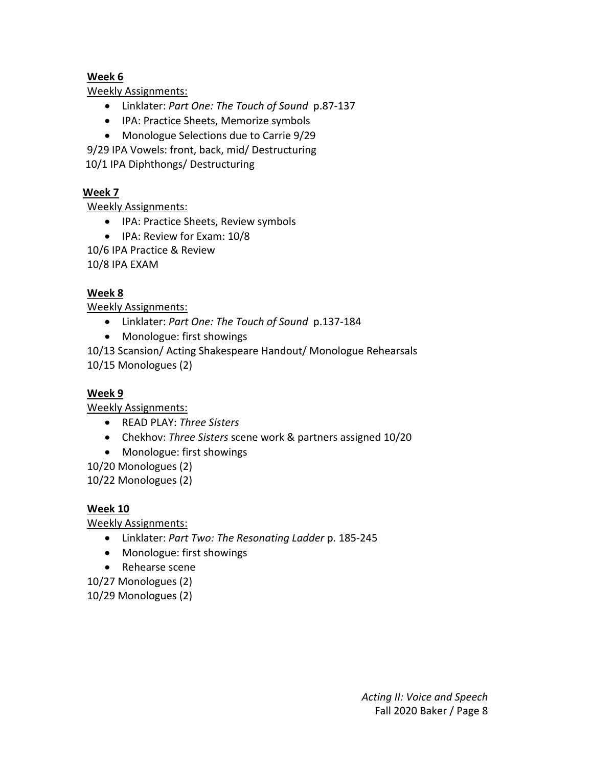### **Week 6**

Weekly Assignments:

- Linklater: *Part One: The Touch of Sound*  p.87‐137
- IPA: Practice Sheets, Memorize symbols
- Monologue Selections due to Carrie 9/29

9/29 IPA Vowels: front, back, mid/ Destructuring

10/1 IPA Diphthongs/ Destructuring

### **Week 7**

Weekly Assignments:

- IPA: Practice Sheets, Review symbols
- IPA: Review for Exam: 10/8

10/6 IPA Practice & Review

10/8 IPA EXAM

### **Week 8**

Weekly Assignments:

- Linklater: *Part One: The Touch of Sound*  p.137‐184
- Monologue: first showings

10/13 Scansion/ Acting Shakespeare Handout/ Monologue Rehearsals 10/15 Monologues (2)

### **Week 9**

Weekly Assignments:

- READ PLAY: *Three Sisters*
- Chekhov: *Three Sisters* scene work & partners assigned 10/20
- Monologue: first showings

10/20 Monologues (2)

10/22 Monologues (2)

### **Week 10**

Weekly Assignments:

- Linklater: *Part Two: The Resonating Ladder* p. 185‐245
- Monologue: first showings
- Rehearse scene

10/27 Monologues (2)

10/29 Monologues (2)